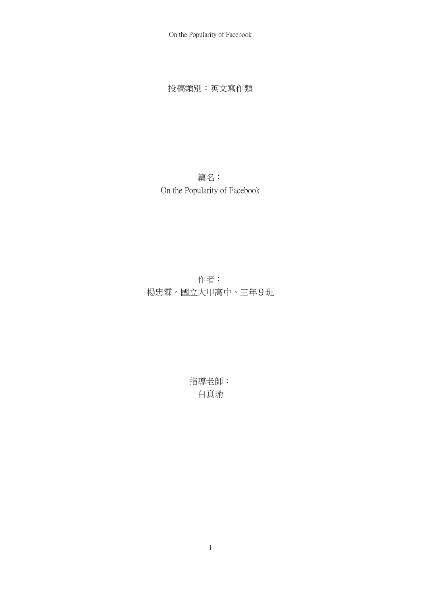On the Popularity of Facebook

投稿類別:英文寫作類

篇名: On the Popularity of Facebook

作者: 楊忠霖。國立大甲高中。三年9班

> 指導老師: 白真瑜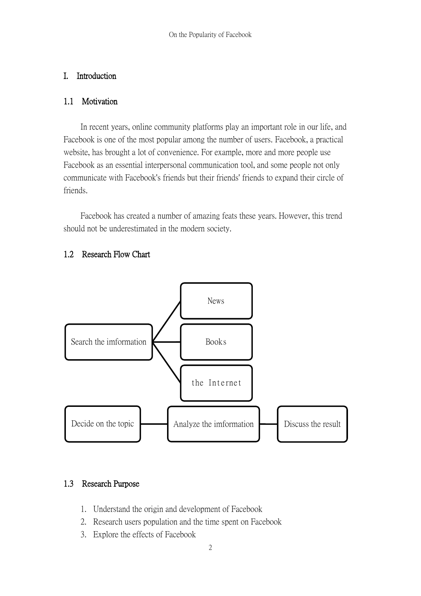### I. Introduction

### 1.1 Motivation

In recent years, online community platforms play an important role in our life, and Facebook is one of the most popular among the number of users. Facebook, a practical website, has brought a lot of convenience. For example, more and more people use Facebook as an essential interpersonal communication tool, and some people not only communicate with Facebook's friends but their friends' friends to expand their circle of friends.

Facebook has created a number of amazing feats these years. However, this trend should not be underestimated in the modern society.



## 1.2 Research Flow Chart

# 1.3 Research Purpose

- 1. Understand the origin and development of Facebook
- 2. Research users population and the time spent on Facebook
- 3. Explore the effects of Facebook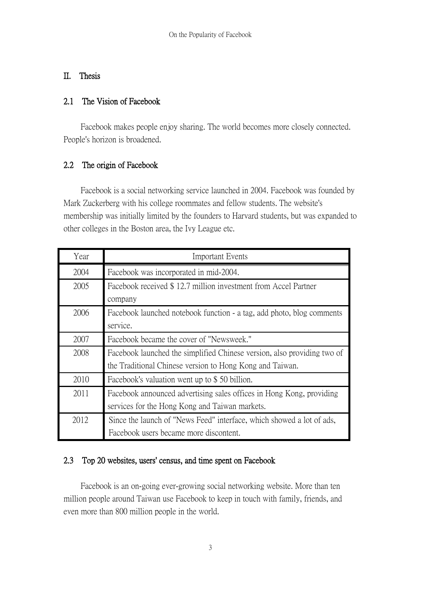### II. Thesis

### 2.1 The Vision of Facebook

 Facebook makes people enjoy sharing. The world becomes more closely connected. People's horizon is broadened.

# 2.2 The origin of Facebook

 Facebook is a social networking service launched in 2004. Facebook was founded by Mark Zuckerberg with his college roommates and fellow students. The website's membership was initially limited by the founders to Harvard students, but was expanded to other colleges in the Boston area, the Ivy League etc.

| Year | <b>Important Events</b>                                                                                                             |  |  |
|------|-------------------------------------------------------------------------------------------------------------------------------------|--|--|
| 2004 | Facebook was incorporated in mid-2004.                                                                                              |  |  |
| 2005 | Facebook received \$12.7 million investment from Accel Partner<br>company                                                           |  |  |
| 2006 | Facebook launched notebook function - a tag, add photo, blog comments<br>service.                                                   |  |  |
| 2007 | Facebook became the cover of "Newsweek."                                                                                            |  |  |
| 2008 | Facebook launched the simplified Chinese version, also providing two of<br>the Traditional Chinese version to Hong Kong and Taiwan. |  |  |
| 2010 | Facebook's valuation went up to \$50 billion.                                                                                       |  |  |
| 2011 | Facebook announced advertising sales offices in Hong Kong, providing<br>services for the Hong Kong and Taiwan markets.              |  |  |
| 2012 | Since the launch of "News Feed" interface, which showed a lot of ads,<br>Facebook users became more discontent.                     |  |  |

## 2.3 Top 20 websites, users' census, and time spent on Facebook

 Facebook is an on-going ever-growing social networking website. More than ten million people around Taiwan use Facebook to keep in touch with family, friends, and even more than 800 million people in the world.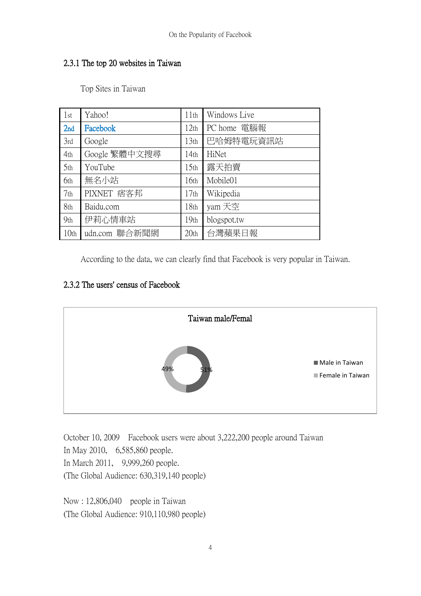## 2.3.1 The top 20 websites in Taiwan

Top Sites in Taiwan

| 1st              | Yahoo!        | 11th             | Windows Live |
|------------------|---------------|------------------|--------------|
| 2nd              | Facebook      | 12 <sub>th</sub> | PC home 電腦報  |
| 3rd              | Google        | 13 <sub>th</sub> | 巴哈姆特電玩資訊站    |
| 4th              | Google 繁體中文搜尋 | 14 <sub>th</sub> | HiNet        |
| 5th              | YouTube       | 15 <sub>th</sub> | 露天拍賣         |
| 6th              | 無名小站          | 16 <sub>th</sub> | Mobile01     |
| 7 <sub>th</sub>  | PIXNET 痞客邦    | 17 <sub>th</sub> | Wikipedia    |
| 8th              | Baidu.com     | 18th             | yam 天空       |
| 9 <sub>th</sub>  | 伊莉心情車站        | 19 <sub>th</sub> | blogspot.tw  |
| 10 <sub>th</sub> | udn.com 聯合新聞網 | 20 <sub>th</sub> | 台灣蘋果日報       |

According to the data, we can clearly find that Facebook is very popular in Taiwan.

# 2.3.2 The users' census of Facebook



October 10, 2009 Facebook users were about 3,222,200 people around Taiwan In May 2010, 6,585,860 people. In March 2011, 9,999,260 people. (The Global Audience: 630,319,140 people)

Now : 12,806,040 people in Taiwan (The Global Audience: 910,110,980 people)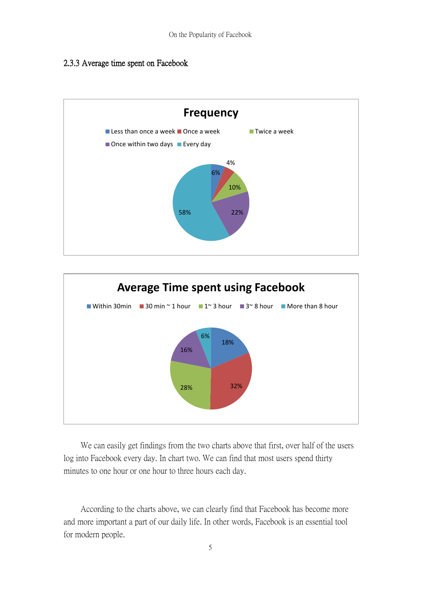#### 2.3.3 Average time spent on Facebook





 We can easily get findings from the two charts above that first, over half of the users log into Facebook every day. In chart two. We can find that most users spend thirty minutes to one hour or one hour to three hours each day.

 According to the charts above, we can clearly find that Facebook has become more and more important a part of our daily life. In other words, Facebook is an essential tool for modern people.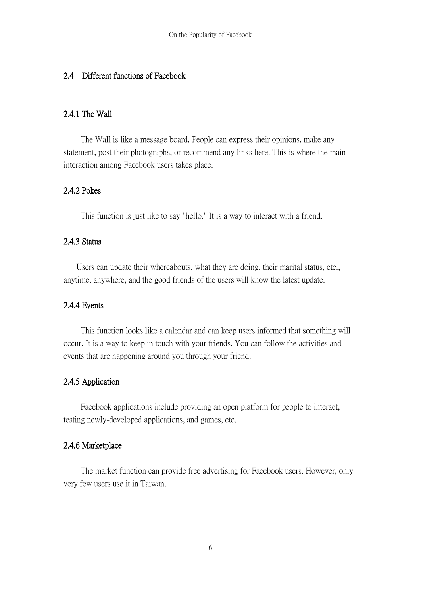#### 2.4 Different functions of Facebook

#### 2.4.1 The Wall

 The Wall is like a message board. People can express their opinions, make any statement, post their photographs, or recommend any links here. This is where the main interaction among Facebook users takes place.

### 2.4.2 Pokes

This function is just like to say "hello." It is a way to interact with a friend.

#### 2.4.3 Status

 Users can update their whereabouts, what they are doing, their marital status, etc., anytime, anywhere, and the good friends of the users will know the latest update.

### 2.4.4 Events

 This function looks like a calendar and can keep users informed that something will occur. It is a way to keep in touch with your friends. You can follow the activities and events that are happening around you through your friend.

#### 2.4.5 Application

 Facebook applications include providing an open platform for people to interact, testing newly-developed applications, and games, etc.

#### 2.4.6 Marketplace

 The market function can provide free advertising for Facebook users. However, only very few users use it in Taiwan.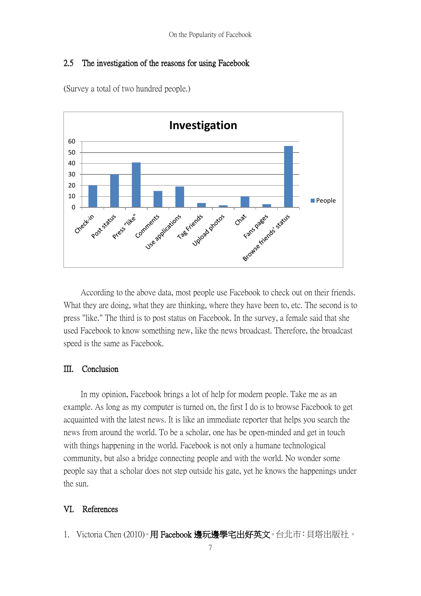#### 2.5 The investigation of the reasons for using Facebook



(Survey a total of two hundred people.)

 According to the above data, most people use Facebook to check out on their friends. What they are doing, what they are thinking, where they have been to, etc. The second is to press "like." The third is to post status on Facebook. In the survey, a female said that she used Facebook to know something new, like the news broadcast. Therefore, the broadcast speed is the same as Facebook.

#### III. Conclusion

 In my opinion, Facebook brings a lot of help for modern people. Take me as an example. As long as my computer is turned on, the first I do is to browse Facebook to get acquainted with the latest news. It is like an immediate reporter that helps you search the news from around the world. To be a scholar, one has be open-minded and get in touch with things happening in the world. Facebook is not only a humane technological community, but also a bridge connecting people and with the world. No wonder some people say that a scholar does not step outside his gate, yet he knows the happenings under the sun.

#### VI. References

1. Victoria Chen (2010)。用 Facebook 邊玩邊學宅出好英文。台北市:貝塔出版社。